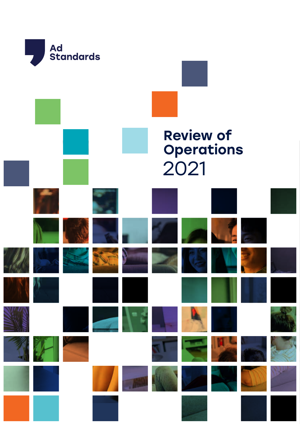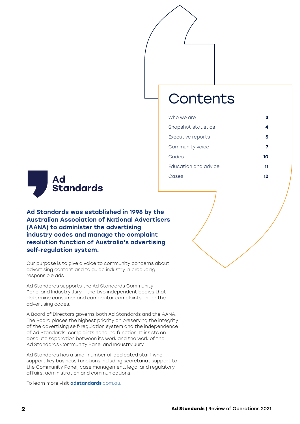## **Contents**

| Who we are           |    |
|----------------------|----|
| Snapshot statistics  |    |
| Executive reports    | 5  |
| Community voice      |    |
| Codes                | 10 |
| Education and advice | 11 |
| Cases                | 12 |



Ad Standards was established in 1998 by the Australian Association of National Advertisers (AANA) to administer the advertising industry codes and manage the complaint resolution function of Australia's advertising self-regulation system.

Our purpose is to give a voice to community concerns about advertising content and to guide industry in producing responsible ads.

Ad Standards supports the Ad Standards Community Panel and Industry Jury – the two independent bodies that determine consumer and competitor complaints under the advertising codes.

A Board of Directors governs both Ad Standards and the AANA. The Board places the highest priority on preserving the integrity of the advertising self-regulation system and the independence of Ad Standards' complaints handling function. It insists on absolute separation between its work and the work of the Ad Standards Community Panel and Industry Jury.

Ad Standards has a small number of dedicated staff who support key business functions including secretariat support to the Community Panel, case management, legal and regulatory affairs, administration and communications.

To learn more visit **a[dstandards](https://adstandards.com.au)**.com.au.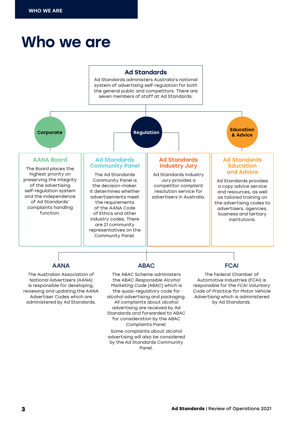## <span id="page-2-0"></span>Who we are

#### Ad Standards

Ad Standards administers Australia's national system of advertising self-regulation for both the general public and competitors. There are seven members of staff at Ad Standards.



Panel.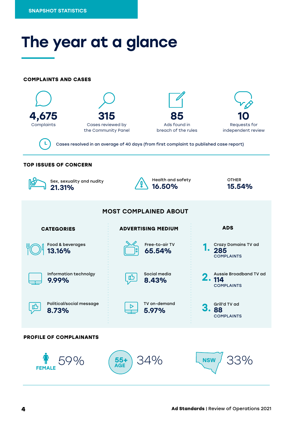## <span id="page-3-0"></span>The year at a glance

#### **COMPLAINTS AND CASES**



Cases resolved in an average of 40 days (from first complaint to published case report)

#### **TOP ISSUES OF CONCERN**

L

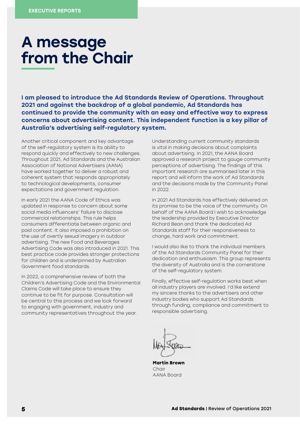## <span id="page-4-0"></span>A message from the Chair

I am pleased to introduce the Ad Standards Review of Operations. Throughout 2021 and against the backdrop of a global pandemic, Ad Standards has continued to provide the community with an easy and effective way to express concerns about advertising content. This independent function is a key pillar of Australia's advertising self-regulatory system.

Another critical component and key advantage of the self-regulatory system is its ability to respond quickly and effectively to new challenges. Throughout 2021, Ad Standards and the Australian Association of National Advertisers (AANA) have worked together to deliver a robust and coherent system that responds appropriately to technological developments, consumer expectations and government regulation.

In early 2021 the AANA Code of Ethics was updated in response to concern about some social media influencers' failure to disclose commercial relationships. This rule helps consumers differentiate between organic and paid content. It also imposed a prohibition on the use of overtly sexual imagery in outdoor advertising. The new Food and Beverages Advertising Code was also introduced in 2021. This best practice code provides stronger protections for children and is underpinned by Australian Government food standards.

In 2022, a comprehensive review of both the Children's Advertising Code and the Environmental Claims Code will take place to ensure they continue to be fit for purpose. Consultation will be central to this process and we look forward to engaging with government, industry and community representatives throughout the year.

Understanding current community standards is vital in making decisions about complaints about advertising. In 2021, the AANA Board approved a research project to gauge community perceptions of advertising. The findings of this important research are summarised later in this report and will inform the work of Ad Standards and the decisions made by the Community Panel in 2022.

In 2021 Ad Standards has effectively delivered on its promise to be the voice of the community. On behalf of the AANA Board I wish to acknowledge the leadership provided by Executive Director Richard Bean and thank the dedicated Ad Standards staff for their responsiveness to change, hard work and commitment.

I would also like to thank the individual members of the Ad Standards Community Panel for their dedication and enthusiasm. This group represents the diversity of Australia and is the cornerstone of the self-regulatory system.

Finally, effective self-regulation works best when all industry players are involved. I'd like extend my sincere thanks to the advertisers and other industry bodies who support Ad Standards through funding, compliance and commitment to responsible advertising.

**Martin Brown** Chair AANA Board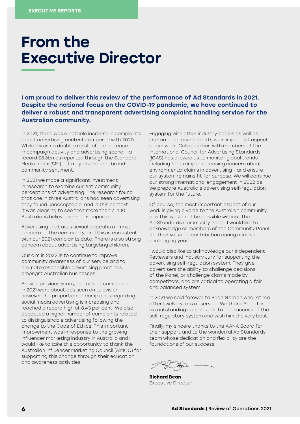## From the Executive Director

I am proud to deliver this review of the performance of Ad Standards in 2021. Despite the national focus on the COVID-19 pandemic, we have continued to deliver a robust and transparent advertising complaint handling service for the Australian community.

In 2021, there was a notable increase in complaints about advertising content compared with 2020. While this is no doubt a result of the increase in campaign activity and advertising spend – a record \$8.6bn as reported through the Standard Media Index (SMI) – it may also reflect broad community sentiment.

In 2021 we made a significant investment in research to examine current community perceptions of advertising. The research found that one in three Australians had seen advertising they found unacceptable, and in this context, it was pleasing to see that more than 7 in 10 Australians believe our role is important.

Advertising that uses sexual appeal is of most concern to the community, and this is consistent with our 2021 complaints data. There is also strong concern about advertising targeting children.

Our aim in 2022 is to continue to improve community awareness of our service and to promote responsible advertising practices amongst Australian businesses.

As with previous years, the bulk of complaints in 2021 were about ads seen on television, however the proportion of complaints regarding social media advertising is increasing and reached a record high of 8.43 per cent. We also accepted a higher number of complaints related to distinguishable advertising following the change to the Code of Ethics. This important improvement was in response to the growing influencer marketing industry in Australia and I would like to take this opportunity to thank the Australian Influencer Marketing Council (AiMCO) for supporting this change through their education and awareness activities.

Engaging with other industry bodies as well as international counterparts is an important aspect of our work. Collaboration with members of the International Council for Advertising Standards (ICAS) has allowed us to monitor global trends – including for example increasing concern about environmental claims in advertising - and ensure our system remains fit for purpose. We will continue our strong international engagement in 2022 as we prepare Australia's advertising self-regulation system for the future.

Of course, the most important aspect of our work is giving a voice to the Australian community, and this would not be possible without the Ad Standards Community Panel. I would like to acknowledge all members of the Community Panel for their valuable contribution during another challenging year.

I would also like to acknowledge our Independent Reviewers and Industry Jury for supporting the advertising self-regulation system. They give advertisers the ability to challenge decisions of the Panel, or challenge claims made by competitors, and are critical to operating a fair and balanced system.

In 2021 we said farewell to Brian Gordon who retired after twelve years of service. We thank Brian for his outstanding contribution to the success of the self-regulatory system and wish him the very best.

Finally, my sincere thanks to the AANA Board for their support and to the wonderful Ad Standards team whose dedication and flexibility are the foundations of our success.

**Richard Bean** Executive Director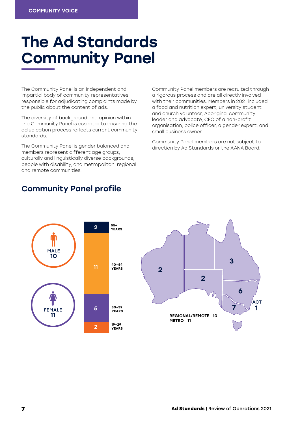## <span id="page-6-0"></span>The Ad Standards Community Panel

The Community Panel is an independent and impartial body of community representatives responsible for adjudicating complaints made by the public about the content of ads.

The diversity of background and opinion within the Community Panel is essential to ensuring the adjudication process reflects current community standards.

The Community Panel is gender balanced and members represent different age groups, culturally and linguistically diverse backgrounds, people with disability, and metropolitan, regional and remote communities.

Community Panel members are recruited through a rigorous process and are all directly involved with their communities. Members in 2021 included a food and nutrition expert, university student and church volunteer, Aboriginal community leader and advocate, CEO of a non-profit organisation, police officer, a gender expert, and small business owner.

Community Panel members are not subject to direction by Ad Standards or the AANA Board.



### Community Panel profile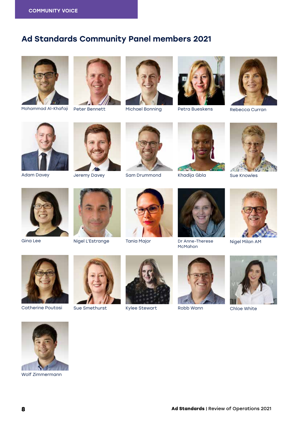## Ad Standards Community Panel members 2021



Mohammad Al-Khafaji Peter Bennett Michael Bonning Petra Bueskens Rebecca Curran















Adam Davey Jeremy Davey Sam Drummond Khadija Gbla Sue Knowles













Gina Lee Migel L'Estrange Tania Major Dr Anne-Therese McMahon



Nigel Milan AM



Catherine Poutasi Sue Smethurst Kylee Stewart Robb Wann Chloe White











Wolf Zimmermann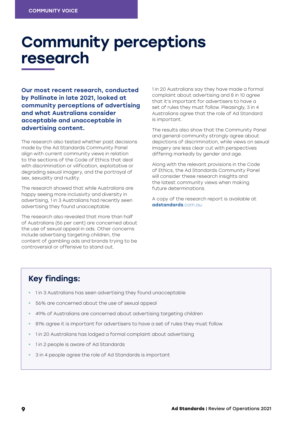## Community perceptions research

Our most recent research, conducted by Pollinate in late 2021, looked at community perceptions of advertising and what Australians consider acceptable and unacceptable in advertising content.

The research also tested whether past decisions made by the Ad Standards Community Panel align with current community views in relation to the sections of the Code of Ethics that deal with discrimination or vilification, exploitative or degrading sexual imagery, and the portrayal of sex, sexuality and nudity.

The research showed that while Australians are happy seeing more inclusivity and diversity in advertising, 1 in 3 Australians had recently seen advertising they found unacceptable.

The research also revealed that more than half of Australians (56 per cent) are concerned about the use of sexual appeal in ads. Other concerns include advertising targeting children, the content of gambling ads and brands trying to be controversial or offensive to stand out.

1 in 20 Australians say they have made a formal complaint about advertising and 8 in 10 agree that it's important for advertisers to have a set of rules they must follow. Pleasingly, 3 in 4 Australians agree that the role of Ad Standard is important.

The results also show that the Community Panel and general community strongly agree about depictions of discrimination, while views on sexual imagery are less clear cut with perspectives differing markedly by gender and age.

Along with the relevant provisions in the Code of Ethics, the Ad Standards Community Panel will consider these research insights and the latest community views when making future determinations.

A copy of the research report is available at a[dstandards](https://adstandards.com.au).com.au.

### Key findings:

- <sup>1</sup> 1 in 3 Australians has seen advertising they found unacceptable
- 56% are concerned about the use of sexual appeal
- 49% of Australians are concerned about advertising targeting children
- 81% agree it is important for advertisers to have a set of rules they must follow
- 1 in 20 Australians has lodged a formal complaint about advertising
- 1 in 2 people is aware of Ad Standards
- 3 in 4 people agree the role of Ad Standards is important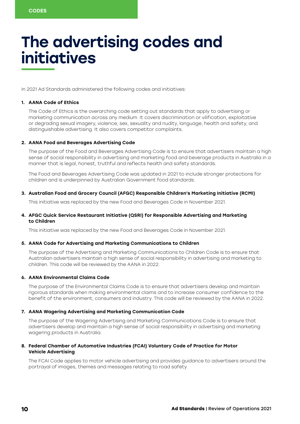## <span id="page-9-0"></span>The advertising codes and initiatives

In 2021 Ad Standards administered the following codes and initiatives:

#### 1. AANA Code of Ethics

The Code of Ethics is the overarching code setting out standards that apply to advertising or marketing communication across any medium. It covers discrimination or vilification, exploitative or degrading sexual imagery, violence, sex, sexuality and nudity, language, health and safety, and distinguishable advertising. It also covers competitor complaints.

#### 2. AANA Food and Beverages Advertising Code

The purpose of the Food and Beverages Advertising Code is to ensure that advertisers maintain a high sense of social responsibility in advertising and marketing food and beverage products in Australia in a manner that is legal, honest, truthful and reflects health and safety standards.

The Food and Beverages Advertising Code was updated in 2021 to include stronger protections for children and is underpinned by Australian Government food standards.

#### 3. Australian Food and Grocery Council (AFGC) Responsible Children's Marketing Initiative (RCMI)

This initiative was replaced by the new Food and Beverages Code in November 2021.

#### 4. AFGC Quick Service Restaurant Initiative (QSRI) for Responsible Advertising and Marketing to Children

This initiative was replaced by the new Food and Beverages Code in November 2021.

#### 5. AANA Code for Advertising and Marketing Communications to Children

The purpose of the Advertising and Marketing Communications to Children Code is to ensure that Australian advertisers maintain a high sense of social responsibility in advertising and marketing to children. This code will be reviewed by the AANA in 2022.

#### 6. AANA Environmental Claims Code

The purpose of the Environmental Claims Code is to ensure that advertisers develop and maintain rigorous standards when making environmental claims and to increase consumer confidence to the benefit of the environment, consumers and industry. This code will be reviewed by the AANA in 2022.

#### 7. AANA Wagering Advertising and Marketing Communication Code

The purpose of the Wagering Advertising and Marketing Communications Code is to ensure that advertisers develop and maintain a high sense of social responsibility in advertising and marketing wagering products in Australia.

#### 8. Federal Chamber of Automotive Industries (FCAI) Voluntary Code of Practice for Motor Vehicle Advertising

The FCAI Code applies to motor vehicle advertising and provides guidance to advertisers around the portrayal of images, themes and messages relating to road safety.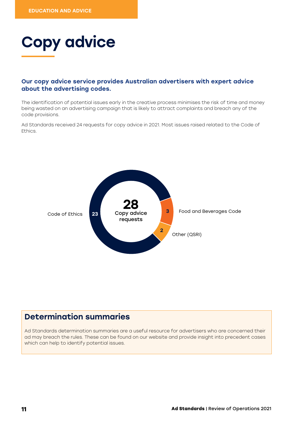# <span id="page-10-0"></span>Copy advice

#### Our copy advice service provides Australian advertisers with expert advice about the advertising codes.

The identification of potential issues early in the creative process minimises the risk of time and money being wasted on an advertising campaign that is likely to attract complaints and breach any of the code provisions.

Ad Standards received 24 requests for copy advice in 2021. Most issues raised related to the Code of **Ethics** 



### Determination summaries

Ad Standards determination summaries are a useful resource for advertisers who are concerned their ad may breach the rules. These can be found on our website and provide insight into precedent cases which can help to identify potential issues.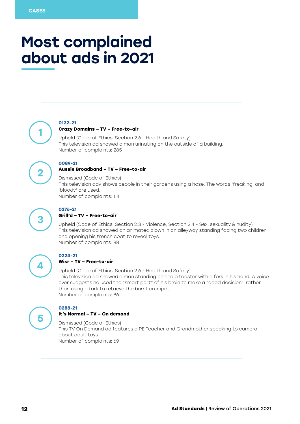## <span id="page-11-0"></span>Most complained about ads in 2021

#### **[0122-21](https://adstandards.com.au/case/case-0122-21)**

#### 1 **Crazy Domains – TV – Free-to-air**

Upheld (Code of Ethics: Section 2.6 - Health and Safety) This television ad showed a man urinating on the outside of a building. Number of complaints: 285

#### **[0089-21](https://adstandards.com.au/case/case-0089-21)**

#### 2 **Aussie Broadband – TV – Free-to-air**

Dismissed (Code of Ethics) This television adv shows people in their gardens using a hose. The words 'freaking' and 'bloody' are used. Number of complaints: 114



#### **[0276-21](https://adstandards.com.au/case/case-0276-21)**  3 **Grill'd – TV – Free-to-air**

Upheld (Code of Ethics: Section 2.3 - Violence, Section 2.4 - Sex, sexuality & nudity) This television ad showed an animated clown in an alleyway standing facing two children and opening his trench coat to reveal toys. Number of complaints: 88



#### **[0224-21](https://adstandards.com.au/case/case-0224-21)**

#### 4 **Wisr – TV – Free-to-air**

Upheld (Code of Ethics: Section 2.6 - Health and Safety) This television ad showed a man standing behind a toaster with a fork in his hand. A voice over suggests he used the "smart part" of his brain to make a "good decision", rather than using a fork to retrieve the burnt crumpet. Number of complaints: 86



#### **[0288-21](https://adstandards.com.au/case/case-0288-21)**

### 5 **It's Normal – TV – On demand**

Dismissed (Code of Ethics) This TV On Demand ad features a PE Teacher and Grandmother speaking to camera about adult toys. Number of complaints: 69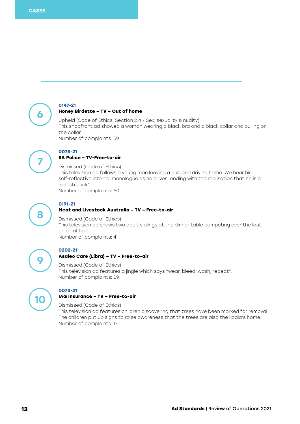

#### **[0147-21](https://adstandards.com.au/case/case-0147-21)**

#### 6 **Honey Birdette – TV – Out of home**

Upheld (Code of Ethics: Section 2.4 - Sex, sexuality & nudity) This shopfront ad showed a woman wearing a black bra and a black collar and pulling on the collar. Number of complaints: 59

**[0075-21](https://adstandards.com.au/case/case-0075-21)**

#### 7 **SA Police – TV-Free-to-air**

Dismissed (Code of Ethics) This television ad follows a young man leaving a pub and driving home. We hear his self-reflective internal monologue as he drives, ending with the realisation that he is a 'selfish prick'. Number of complaints: 50

#### **[0191-21](https://adstandards.com.au/case/case-0191-21)**

## 8 **Meat and Livestock Australia – TV – Free-to-air**

Dismissed (Code of Ethics) This television ad shows two adult siblings at the dinner table competing over the last piece of beef. Number of complaints: 41

#### **[0202-21](https://adstandards.com.au/case/case-0202-21)**

### 9 **Asaleo Care (Libra) – TV – Free-to-air**

Dismissed (Code of Ethics) This television ad features a jingle which says "wear, bleed, wash, repeat". Number of complaints: 29



#### **[0073-21](https://adstandards.com.au/case/case-0073-21)**

### 10 **IAG Insurance – TV – Free-to-air**

Dismissed (Code of Ethics) This television ad features children discovering that trees have been marked for removal. The children put up signs to raise awareness that the trees are also the koala's home. Number of complaints: 17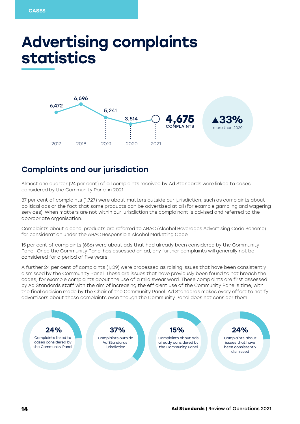## Advertising complaints statistics



## Complaints and our jurisdiction

Almost one quarter (24 per cent) of all complaints received by Ad Standards were linked to cases considered by the Community Panel in 2021.

37 per cent of complaints (1,727) were about matters outside our jurisdiction, such as complaints about political ads or the fact that some products can be advertised at all (for example gambling and wagering services). When matters are not within our jurisdiction the complainant is advised and referred to the appropriate organisation.

Complaints about alcohol products are referred to ABAC (Alcohol Beverages Advertising Code Scheme) for consideration under the ABAC Responsible Alcohol Marketing Code.

15 per cent of complaints (686) were about ads that had already been considered by the Community Panel. Once the Community Panel has assessed an ad, any further complaints will generally not be considered for a period of five years.

A further 24 per cent of complaints (1,129) were processed as raising issues that have been consistently dismissed by the Community Panel. These are issues that have previously been found to not breach the codes, for example complaints about the use of a mild swear word. These complaints are first assessed by Ad Standards staff with the aim of increasing the efficient use of the Community Panel's time, with the final decision made by the Chair of the Community Panel. Ad Standards makes every effort to notify advertisers about these complaints even though the Community Panel does not consider them.

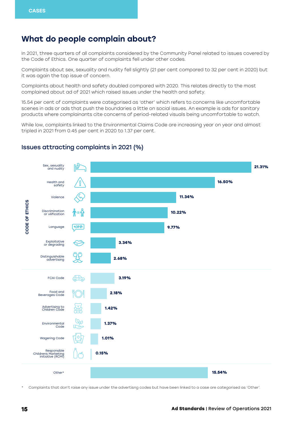### What do people complain about?

In 2021, three quarters of all complaints considered by the Community Panel related to issues covered by the Code of Ethics. One quarter of complaints fell under other codes.

Complaints about sex, sexuality and nudity fell slightly (21 per cent compared to 32 per cent in 2020) but it was again the top issue of concern.

Complaints about health and safety doubled compared with 2020. This relates directly to the most complained about ad of 2021 which raised issues under the health and safety.

15.54 per cent of complaints were categorised as 'other' which refers to concerns like uncomfortable scenes in ads or ads that push the boundaries a little on social issues. An example is ads for sanitary products where complainants cite concerns of period-related visuals being uncomfortable to watch.

While low, complaints linked to the Environmental Claims Code are increasing year on year and almost tripled in 2021 from 0.45 per cent in 2020 to 1.37 per cent.



#### Issues attracting complaints in 2021 (%)

\* Complaints that don't raise any issue under the advertisng codes but have been linked to a case are categorised as 'Other'.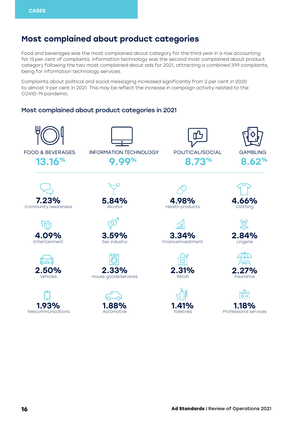### Most complained about product categories

Food and beverages was the most complained about category for the third year in a row accounting for 13 per cent of complaints. Information technology was the second most complained about product category following the two most complained about ads for 2021, attracting a combined 399 complaints, being for information technology services.

Complaints about political and social messaging increased significantly from 2 per cent in 2020 to almost 9 per cent in 2021. This may be reflect the increase in campaign activity related to the COVID-19 pandemic.

#### Most complained about product categories in 2021

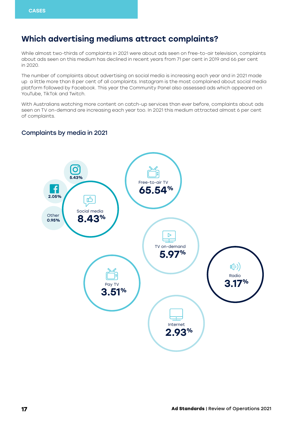### Which advertising mediums attract complaints?

While almost two-thirds of complaints in 2021 were about ads seen on free-to-air television, complaints about ads seen on this medium has declined in recent years from 71 per cent in 2019 and 66 per cent in 2020.

The number of complaints about advertising on social media is increasing each year and in 2021 made up a little more than 8 per cent of all complaints. Instagram is the most complained about social media platform followed by Facebook. This year the Community Panel also assessed ads which appeared on YouTube, TikTok and Twitch.

With Australians watching more content on catch-up services than ever before, complaints about ads seen on TV on-demand are increasing each year too. In 2021 this medium attracted almost 6 per cent of complaints.

#### Complaints by media in 2021

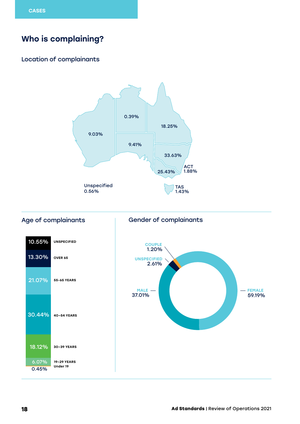## Who is complaining?

#### Location of complainants





## **18 Ad Standards** | Review of Operations 2021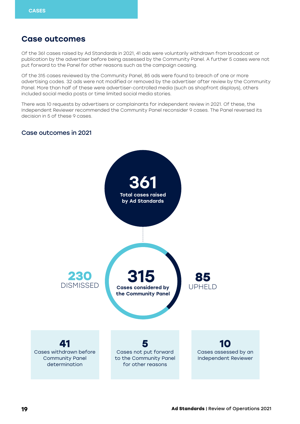### Case outcomes

Of the 361 cases raised by Ad Standards in 2021, 41 ads were voluntarily withdrawn from broadcast or publication by the advertiser before being assessed by the Community Panel. A further 5 cases were not put forward to the Panel for other reasons such as the campaign ceasing.

Of the 315 cases reviewed by the Community Panel, 85 ads were found to breach of one or more advertising codes. 32 ads were not modified or removed by the advertiser after review by the Community Panel. More than half of these were advertiser-controlled media (such as shopfront displays), others included social media posts or time limited social media stories.

There was 10 requests by advertisers or complainants for independent review in 2021. Of these, the Independent Reviewer recommended the Community Panel reconsider 9 cases. The Panel reversed its decision in 5 of these 9 cases.

#### Case outcomes in 2021

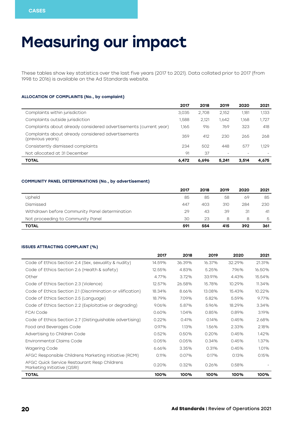## Measuring our impact

These tables show key statistics over the last five years (2017 to 2021). Data collated prior to 2017 (from 1998 to 2016) is available on the Ad Standards website.

#### ALLOCATION OF COMPLAINTS (No., by complaint)

|                                                                        | 2017  | 2018  | 2019  | 2020  | 2021  |
|------------------------------------------------------------------------|-------|-------|-------|-------|-------|
| Complaints within jurisdiction                                         | 3.035 | 2,708 | 2,152 | 1,181 | 1,133 |
| Complaints outside jurisdiction                                        | 1,588 | 2,121 | 1.642 | 1,168 | 1,727 |
| Complaints about already considered advertisements (current year)      | 1,165 | 916   | 769   | 323   | 418   |
| Complaints about already considered advertisements<br>(previous years) | 359   | 412   | 230   | 265   | 268   |
| Consistently dismissed complaints                                      | 234   | 502   | 448   | 577   | 1.129 |
| Not allocated at 31 December                                           | 91    | 37    |       |       |       |
| <b>TOTAL</b>                                                           | 6,472 | 6.696 | 5.241 | 3.514 | 4,675 |

#### COMMUNITY PANEL DETERMINATIONS (No., by advertisement)

|                                                | 2017 | 2018 | 2019 | 2020 | 2021 |
|------------------------------------------------|------|------|------|------|------|
| Upheld                                         | 85   | 85   | 58   | 69   | 85   |
| Dismissed                                      | 447  | 403  | 310  | 284  | 230  |
| Withdrawn before Community Panel determination | 29   | 43   | 39   | 31   | 41   |
| Not proceeding to Community Panel              | 30   | 23   | 8    | 8    | 5    |
| <b>TOTAL</b>                                   | 591  | 554  | 415  | 392  | 361  |

#### ISSUES ATTRACTING COMPLAINT (%)

|                                                                             | 2017   | 2018   | 2019   | 2020   | 2021   |
|-----------------------------------------------------------------------------|--------|--------|--------|--------|--------|
| Code of Ethics Section 2.4 (Sex, sexuality & nudity)                        | 14.59% | 36.39% | 16.37% | 32.29% | 21.31% |
| Code of Ethics Section 2.6 (Health & safety)                                | 12.55% | 4.83%  | 5.25%  | 7.96%  | 16.50% |
| Other                                                                       | 4.77%  | 3.72%  | 33.91% | 4.43%  | 15.54% |
| Code of Ethics Section 2.3 (Violence)                                       | 12.57% | 26.58% | 15.78% | 10.29% | 11.34% |
| Code of Ethics Section 2.1 (Discrimination or vilification)                 | 18.34% | 8.66%  | 13.08% | 15.43% | 10.22% |
| Code of Ethics Section 2.5 (Language)                                       | 18.79% | 7.09%  | 5.82%  | 5.59%  | 9.77%  |
| Code of Ethics Section 2.2 (Exploitative or degrading)                      | 9.06%  | 5.87%  | 5.96%  | 18.29% | 3.34%  |
| <b>FCAI Code</b>                                                            | 0.60%  | 1.04%  | 0.85%  | 0.89%  | 3.19%  |
| Code of Ethics Section 2.7 (Distinguishable advertising)                    | 0.22%  | 0.41%  | 0.14%  | 0.45%  | 2.68%  |
| Food and Beverages Code                                                     | 0.97%  | 1.13%  | 1.56%  | 2.33%  | 2.18%  |
| Advertising to Children Code                                                | 0.52%  | 0.50%  | 0.20%  | 0.45%  | 1.42%  |
| Environmental Claims Code                                                   | 0.05%  | 0.05%  | 0.34%  | 0.45%  | 1.37%  |
| Wagering Code                                                               | 6.66%  | 3.35%  | 0.31%  | 0.45%  | 1.01%  |
| AFGC Responsible Childrens Marketing Initiative (RCMI)                      | 0.11%  | 0.07%  | 0.17%  | 0.13%  | 0.15%  |
| AFGC Quick Service Restaurant Resp Childrens<br>Marketing Initiative (QSRI) | 0.20%  | 0.32%  | 0.26%  | 0.58%  |        |
| <b>TOTAL</b>                                                                | 100%   | 100%   | 100%   | 100%   | 100%   |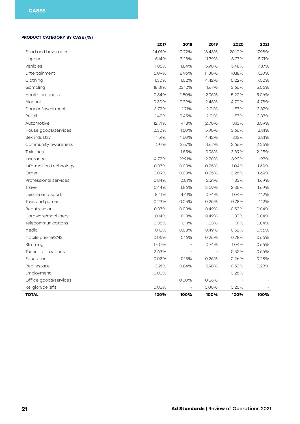#### PRODUCT CATEGORY BY CASE (%)

|                        | 2017   | 2018   | 2019   | 2020   | 2021   |
|------------------------|--------|--------|--------|--------|--------|
| Food and beverages     | 24.01% | 10.72% | 18.43% | 20.10% | 17.98% |
| Lingerie               | 5.14%  | 7.28%  | 11.79% | 6.27%  | 8.71%  |
| Vehicles               | 1.86%  | 1.84%  | 5.90%  | 5.48%  | 7.87%  |
| Entertainment          | 5.09%  | 8.96%  | 11.30% | 10.18% | 7.30%  |
| Clothing               | 1.30%  | 1.52%  | 4.42%  | 5.22%  | 7.02%  |
| Gambling               | 18.31% | 23.12% | 4.67%  | 3.66%  | 5.06%  |
| Health products        | 0.84%  | 2.50%  | 2.95%  | 5.22%  | 5.06%  |
| Alcohol                | 0.30%  | 0.79%  | 2.46%  | 4.70%  | 4.78%  |
| Finance/investment     | 3.72%  | 1.71%  | 2.21%  | 1.57%  | 3.37%  |
| Retail                 | 1.42%  | 0.45%  | 2.21%  | 1.57%  | 3.37%  |
| Automotive             | 12.71% | 4.18%  | 2.70%  | 3.13%  | 3.09%  |
| House goods/services   | 2.30%  | 1.50%  | 5.90%  | 3.66%  | 2.81%  |
| Sex industry           | 1.51%  | 1.60%  | 4.42%  | 3.13%  | 2.81%  |
| Community awareness    | 2.97%  | 3.57%  | 4.67%  | 3.66%  | 2.25%  |
| Toiletries             |        | 1.55%  | 0.98%  | 3.39%  | 2.25%  |
| Insurance              | 4.72%  | 19.91% | 2.70%  | 3.92%  | 1.97%  |
| Information technology | 0.07%  | 0.08%  | 0.25%  | 1.04%  | 1.69%  |
| Other                  | 0.09%  | 0.03%  | 0.25%  | 0.26%  | 1.69%  |
| Professional services  | 0.84%  | 0.81%  | 2.21%  | 1.83%  | 1.69%  |
| Travel                 | 0.44%  | 1.86%  | 3.69%  | 2.35%  | 1.69%  |
| Leisure and sport      | 8.41%  | 4.41%  | 0.74%  | 1.04%  | 1.12%  |
| Toys and games         | 0.23%  | 0.05%  | 0.25%  | 0.78%  | 1.12%  |
| Beauty salon           | 0.07%  | 0.08%  | 0.49%  | 0.52%  | 0.84%  |
| Hardware/machinery     | 0.14%  | 0.18%  | 0.49%  | 1.83%  | 0.84%  |
| Telecommunications     | 0.35%  | 0.11%  | 1.23%  | 1.31%  | 0.84%  |
| Media                  | 0.12%  | 0.08%  | 0.49%  | 0.52%  | 0.56%  |
| Mobile phone/SMS       | 0.05%  | 0.16%  | 0.25%  | 0.78%  | 0.56%  |
| Slimming               | 0.07%  |        | 0.74%  | 1.04%  | 0.56%  |
| Tourist attractions    | 2.63%  |        |        | 0.52%  | 0.56%  |
| Education              | 0.02%  | 0.13%  | 0.25%  | 0.26%  | 0.28%  |
| Real estate            | 0.21%  | 0.84%  | 0.98%  | 0.52%  | 0.28%  |
| Employment             | 0.02%  |        |        | 0.26%  |        |
| Office goods/services  |        | 0.00%  | 0.26%  |        |        |
| Religion/beliefs       | 0.02%  |        | 0.00%  | 0.26%  |        |
| <b>TOTAL</b>           | 100%   | 100%   | 100%   | 100%   | 100%   |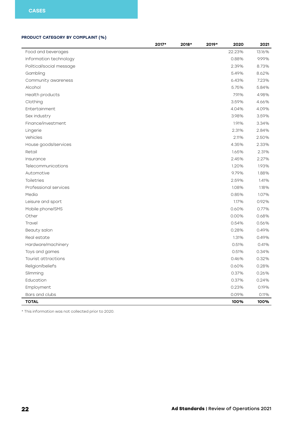#### PRODUCT CATEGORY BY COMPLAINT (%)

|                          | 2017* | 2018* | 2019* | 2020   | 2021   |
|--------------------------|-------|-------|-------|--------|--------|
| Food and beverages       |       |       |       | 22.23% | 13.16% |
| Information technology   |       |       |       | 0.88%  | 9.99%  |
| Political/social message |       |       |       | 2.39%  | 8.73%  |
| Gambling                 |       |       |       | 5.49%  | 8.62%  |
| Community awareness      |       |       |       | 6.43%  | 7.23%  |
| Alcohol                  |       |       |       | 5.75%  | 5.84%  |
| Health products          |       |       |       | 7.91%  | 4.98%  |
| Clothing                 |       |       |       | 3.59%  | 4.66%  |
| Entertainment            |       |       |       | 4.04%  | 4.09%  |
| Sex industry             |       |       |       | 3.98%  | 3.59%  |
| Finance/investment       |       |       |       | 1.91%  | 3.34%  |
| Lingerie                 |       |       |       | 2.31%  | 2.84%  |
| Vehicles                 |       |       |       | 2.11%  | 2.50%  |
| House goods/services     |       |       |       | 4.35%  | 2.33%  |
| Retail                   |       |       |       | 1.65%  | 2.31%  |
| Insurance                |       |       |       | 2.45%  | 2.27%  |
| Telecommunications       |       |       |       | 1.20%  | 1.93%  |
| Automotive               |       |       |       | 9.79%  | 1.88%  |
| Toiletries               |       |       |       | 2.59%  | 1.41%  |
| Professional services    |       |       |       | 1.08%  | 1.18%  |
| Media                    |       |       |       | 0.85%  | 1.07%  |
| Leisure and sport        |       |       |       | 1.17%  | 0.92%  |
| Mobile phone/SMS         |       |       |       | 0.60%  | 0.77%  |
| Other                    |       |       |       | 0.00%  | 0.68%  |
| Travel                   |       |       |       | 0.54%  | 0.56%  |
| Beauty salon             |       |       |       | 0.28%  | 0.49%  |
| Real estate              |       |       |       | 1.31%  | 0.49%  |
| Hardware/machinery       |       |       |       | 0.51%  | 0.41%  |
| Toys and games           |       |       |       | 0.51%  | 0.34%  |
| Tourist attractions      |       |       |       | 0.46%  | 0.32%  |
| Religion/beliefs         |       |       |       | 0.60%  | 0.28%  |
| Slimming                 |       |       |       | 0.37%  | 0.26%  |
| Education                |       |       |       | 0.37%  | 0.24%  |
| Employment               |       |       |       | 0.23%  | 0.19%  |
| Bars and clubs           |       |       |       | 0.09%  | 0.11%  |
| <b>TOTAL</b>             |       |       |       | 100%   | 100%   |

\* This information was not collected prior to 2020.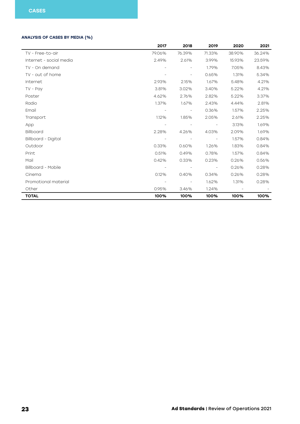#### ANALYSIS OF CASES BY MEDIA (%)

|                         | 2017                     | 2018                     | 2019                     | 2020   | 2021   |
|-------------------------|--------------------------|--------------------------|--------------------------|--------|--------|
| TV - Free-to-air        | 79.06%                   | 76.39%                   | 71.33%                   | 38.90% | 36.24% |
| Internet - social media | 2.49%                    | 2.61%                    | 3.99%                    | 15.93% | 23.59% |
| TV - On demand          |                          |                          | 1.79%                    | 7.05%  | 8.43%  |
| TV - out of home        |                          | $\qquad \qquad -$        | 0.65%                    | 1.31%  | 5.34%  |
| Internet                | 2.93%                    | 2.15%                    | 1.67%                    | 5.48%  | 4.21%  |
| $TV - Pay$              | 3.81%                    | 3.02%                    | 3.40%                    | 5.22%  | 4.21%  |
| Poster                  | 4.62%                    | 2.76%                    | 2.82%                    | 5.22%  | 3.37%  |
| Radio                   | 1.37%                    | 1.67%                    | 2.43%                    | 4.44%  | 2.81%  |
| Email                   |                          | $\overline{\phantom{a}}$ | 0.36%                    | 1.57%  | 2.25%  |
| Transport               | 1.12%                    | 1.85%                    | 2.05%                    | 2.61%  | 2.25%  |
| App                     |                          |                          |                          | 3.13%  | 1.69%  |
| <b>Billboard</b>        | 2.28%                    | 4.26%                    | 4.03%                    | 2.09%  | 1.69%  |
| Billboard - Digital     |                          | $\overline{\phantom{a}}$ | $\overline{\phantom{a}}$ | 1.57%  | 0.84%  |
| Outdoor                 | 0.33%                    | 0.60%                    | 1.26%                    | 1.83%  | 0.84%  |
| Print                   | 0.51%                    | 0.49%                    | 0.78%                    | 1.57%  | 0.84%  |
| Mail                    | 0.42%                    | 0.33%                    | 0.23%                    | 0.26%  | 0.56%  |
| Billboard - Mobile      |                          |                          | $\equiv$                 | 0.26%  | 0.28%  |
| Cinema                  | 0.12%                    | 0.40%                    | 0.34%                    | 0.26%  | 0.28%  |
| Promotional material    | $\overline{\phantom{a}}$ | $\overline{\phantom{a}}$ | 1.62%                    | 1.31%  | 0.28%  |
| Other                   | 0.95%                    | 3.46%                    | 1.24%                    |        |        |
| <b>TOTAL</b>            | 100%                     | 100%                     | 100%                     | 100%   | 100%   |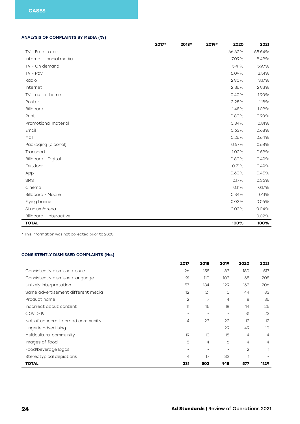#### ANALYSIS OF COMPLAINTS BY MEDIA (%)

|                         | 2017* | 2018* | 2019* | 2020     | 2021   |
|-------------------------|-------|-------|-------|----------|--------|
| TV - Free-to-air        |       |       |       | 66.62%   | 65.54% |
| Internet - social media |       |       |       | 7.09%    | 8.43%  |
| TV - On demand          |       |       |       | 5.41%    | 5.97%  |
| $TV - Pay$              |       |       |       | 5.09%    | 3.51%  |
| Radio                   |       |       |       | 2.90%    | 3.17%  |
| Internet                |       |       |       | 2.36%    | 2.93%  |
| TV - out of home        |       |       |       | 0.40%    | 1.90%  |
| Poster                  |       |       |       | 2.25%    | 1.18%  |
| <b>Billboard</b>        |       |       |       | 1.48%    | 1.03%  |
| Print                   |       |       |       | 0.80%    | 0.90%  |
| Promotional material    |       |       |       | 0.34%    | 0.81%  |
| Email                   |       |       |       | 0.63%    | 0.68%  |
| Mail                    |       |       |       | 0.26%    | 0.64%  |
| Packaging (alcohol)     |       |       |       | 0.57%    | 0.58%  |
| Transport               |       |       |       | 1.02%    | 0.53%  |
| Billboard - Digital     |       |       |       | 0.80%    | 0.49%  |
| Outdoor                 |       |       |       | 0.71%    | 0.49%  |
| App                     |       |       |       | 0.60%    | 0.45%  |
| <b>SMS</b>              |       |       |       | 0.17%    | 0.36%  |
| Cinema                  |       |       |       | 0.11%    | 0.17%  |
| Billboard - Mobile      |       |       |       | 0.34%    | 0.11%  |
| Flying banner           |       |       |       | 0.03%    | 0.06%  |
| Stadium/arena           |       |       |       | 0.03%    | 0.04%  |
| Billboard - Interactive |       |       |       | $\equiv$ | 0.02%  |
| <b>TOTAL</b>            |       |       |       | 100%     | 100%   |

\* This information was not collected prior to 2020.

#### CONSISTENTLY DISMISSED COMPLAINTS (No.)

|                                    | 2017           | 2018 | 2019           | 2020 | 2021           |
|------------------------------------|----------------|------|----------------|------|----------------|
| Consistently dismissed issue       | 26             | 158  | 83             | 180  | 517            |
| Consistently dismissed language    | 91             | 110  | 103            | 65   | 208            |
| Unlikely interpretation            | 57             | 134  | 129            | 163  | 206            |
| Same advertisement different media | 12             | 21   | 6              | 44   | 83             |
| Product name                       | $\mathbf{2}$   | 7    | $\overline{4}$ | 8    | 36             |
| Incorrect about content            | 11             | 15   | 18             | 14   | 25             |
| COVID-19                           |                |      | -              | 31   | 23             |
| Not of concern to broad community  | $\overline{4}$ | 23   | 22             | 12   | 12             |
| Lingerie advertising               |                |      | 29             | 49   | 10             |
| Multicultural community            | 19             | 13   | 15             | 4    | $\overline{4}$ |
| Images of food                     | 5              | 4    | 6              | 4    | $\overline{4}$ |
| Food/beverage logos                |                |      |                | 2    |                |
| Stereotypical depictions           | $\overline{4}$ | 17   | 33             |      |                |
| <b>TOTAL</b>                       | 231            | 502  | 448            | 577  | 1129           |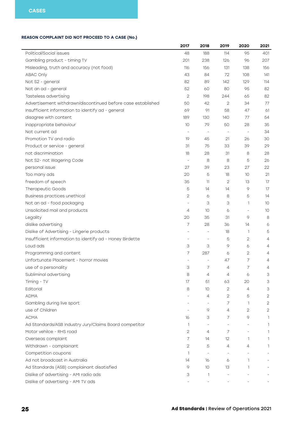#### REASON COMPLAINT DID NOT PROCEED TO A CASE (No.)

|                                                              | 2017                     | 2018                     | 2019         | 2020           | 2021           |
|--------------------------------------------------------------|--------------------------|--------------------------|--------------|----------------|----------------|
| Political/Social issues                                      | 48                       | 188                      | 114          | 95             | 401            |
| Gambling product - timing TV                                 | 201                      | 238                      | 126          | 96             | 207            |
| Misleading, truth and accuracy (not food)                    | 116                      | 156                      | 131          | 138            | 156            |
| <b>ABAC Only</b>                                             | 43                       | 84                       | 72           | 108            | 141            |
| Not S2 - general                                             | 82                       | 89                       | 142          | 129            | 114            |
| Not an ad - general                                          | 52                       | 60                       | 80           | 95             | 82             |
| Tasteless advertising                                        | $\overline{2}$           | 198                      | 244          | 65             | 82             |
| Advertisement withdrawn/discontinued before case established | 50                       | 42                       | $\mathbf{2}$ | 34             | 77             |
| Insufficient information to identify ad - general            | 69                       | 91                       | 58           | 47             | 61             |
| disagree with content                                        | 189                      | 130                      | 140          | 77             | 54             |
| inappropriate behaviour                                      | 10                       | 79                       | 50           | 28             | 35             |
| Not current ad                                               |                          |                          |              |                | 34             |
| Promotion TV and radio                                       | 19                       | 45                       | 21           | 26             | 30             |
| Product or service - general                                 | 31                       | 75                       | 33           | 39             | 29             |
| not discrimination                                           | 18                       | 28                       | 31           | 8              | 28             |
| Not S2- not Wagering Code                                    | $\qquad \qquad -$        | 8                        | 8            | 5              | 26             |
| personal issue                                               | 27                       | 39                       | 23           | 27             | 22             |
| Too many ads                                                 | 20                       | 5                        | 18           | 10             | 21             |
| freedom of speech                                            | 35                       | 11                       | $\mathbf{2}$ | 13             | 17             |
| Therapeutic Goods                                            | 5                        | 14                       | 14           | 9              | 17             |
| Business practices unethical                                 | $\mathbf{2}$             | 6                        | 8            | 5              | 14             |
| Not an ad - food packaging                                   | $\frac{1}{2}$            | 3                        | 3            | 1              | 10             |
| Unsolicited mail and products                                | 4                        | 10                       | 6            | $\overline{a}$ | 10             |
| Legality                                                     | 20                       | 35                       | 31           | 9              | 8              |
| dislike advertising                                          | 7                        | 28                       | 36           | 14             | 6              |
| Dislike of Advertising - Lingerie products                   | $\overline{\phantom{0}}$ |                          | 18           | 1              | 5              |
| Insufficient information to identify ad - Honey Birdette     | $\overline{\phantom{0}}$ | $\overline{\phantom{a}}$ | 5            | 2              | 4              |
| Loud ads                                                     | 3                        | 3                        | 9            | 6              | $\overline{4}$ |
| Programming and content                                      | 7                        | 287                      | 6            | 2              | $\overline{4}$ |
| Unfortunate Placement - horror movies                        |                          |                          | 47           | 7              | $\overline{4}$ |
| use of a personality                                         | 3                        | 7                        | 4            | 7              | 4              |
| Subliminal advertising                                       | 8                        | $\overline{4}$           | 4            | 6              | 3              |
| Timing - TV                                                  | 17                       | 51                       | 63           | 20             | 3              |
| Editorial                                                    | 8                        | 10                       | 2            | $\overline{4}$ | 3              |
| <b>ADMA</b>                                                  |                          | 4                        | 2            | 5              | $\mathbf{2}$   |
| Gambling during live sport                                   |                          | $\overline{\phantom{a}}$ | 7            | $\mathbf{1}$   | $\overline{2}$ |
| use of Children                                              |                          | 9                        | 4            | 2              | $\mathbf{2}$   |
| <b>ACMA</b>                                                  | 16                       | З                        | 7            | 9              | $\mathbf{1}$   |
| Ad Standards/ASB Industry Jury/Claims Board competitor       | 1                        | $\overline{a}$           |              |                | $\mathbf{1}$   |
| Motor vehilce - RHS road                                     | $\mathbf{2}$             | $\overline{4}$           | 7            |                | $\mathbf{1}$   |
| Overseas complaint                                           | 7                        | 14                       | 12           | 1              | 1              |
| Withdrawn - complainant                                      | $\mathbf{2}$             | 5                        | 4            | 4              | 1              |
| Competition coupons                                          | 1                        | $\overline{\phantom{a}}$ |              |                |                |
| Ad not broadcast in Australia                                | 14                       | 16                       | 6            | $\mathbf{1}$   |                |
| Ad Standards (ASB) complainant disatisfied                   | 9                        | 10                       | 13           | $\mathbf{1}$   |                |
| Dislike of advertising - AMI radio ads                       | З                        | 1                        |              |                |                |
| Dislike of advertising - AMI TV ads                          |                          |                          |              |                |                |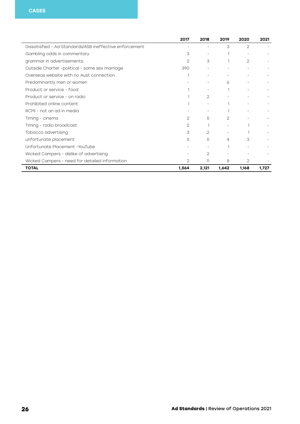|                                                         | 2017           | 2018           | 2019           | 2020           | 2021  |
|---------------------------------------------------------|----------------|----------------|----------------|----------------|-------|
| Dissatisfied - Ad Standards/ASB ineffective enforcement |                |                | 3              | $\mathfrak{D}$ |       |
| Gambling odds in commentary                             | З              |                |                |                |       |
| grammar in advertisements                               | $\overline{2}$ | 3              |                | $\mathfrak{D}$ |       |
| Outside Charter -political - same sex marriage          | 390            |                |                |                |       |
| Overseas website with no Aust connection                |                |                |                |                |       |
| Predominantly men or women                              |                |                | 6              |                |       |
| Product or service - food                               |                |                |                |                |       |
| Product or service - on radio                           |                | $\mathfrak{D}$ |                |                |       |
| Prohibited online content                               |                |                |                |                |       |
| RCMI - not an ad in media                               |                |                |                |                |       |
| Timing - cinema                                         | $\mathfrak{D}$ | 5              | $\mathfrak{D}$ |                |       |
| Timing - radio broadcast                                | 2              |                |                |                |       |
| Tobacco advertising                                     | 3              | 2              |                |                |       |
| unfortunate placement                                   | 5              | 5              | 4              | З              |       |
| Unfortunate Placement - YouTube                         |                |                |                |                |       |
| Wicked Campers - dislike of advertising                 |                | 2              |                |                |       |
| Wicked Campers - need for detailed information          | $\mathfrak{D}$ | 11             | 8              | 2              |       |
| <b>TOTAL</b>                                            | 1,564          | 2,121          | 1,642          | 1,168          | 1,727 |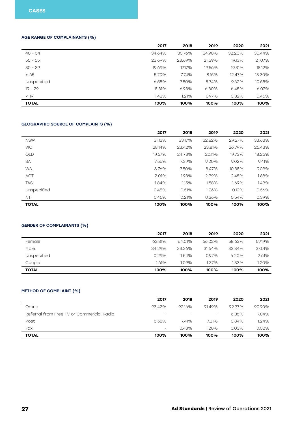#### AGE RANGE OF COMPLAINANTS (%)

|              | 2017   | 2018   | 2019   | 2020   | 2021   |
|--------------|--------|--------|--------|--------|--------|
| $40 - 54$    | 34.64% | 30.76% | 34.90% | 32.20% | 30.44% |
| $55 - 65$    | 23.69% | 28.69% | 21.39% | 19.13% | 21.07% |
| $30 - 39$    | 19.69% | 17.17% | 19.56% | 19.31% | 18.12% |
| >65          | 5.70%  | 7.74%  | 8.15%  | 12.47% | 13.30% |
| Unspecified  | 6.55%  | 7.50%  | 8.74%  | 9.62%  | 10.55% |
| $19 - 29$    | 8.31%  | 6.93%  | 6.30%  | 6.45%  | 6.07%  |
| < 19         | 1.42%  | 1.21%  | 0.97%  | 0.82%  | 0.45%  |
| <b>TOTAL</b> | 100%   | 100%   | 100%   | 100%   | 100%   |

#### GEOGRAPHIC SOURCE OF COMPLAINTS (%)

|              | 2017   | 2018   | 2019   | 2020   | 2021   |
|--------------|--------|--------|--------|--------|--------|
| <b>NSW</b>   | 31.13% | 33.17% | 32.82% | 29.27% | 33.63% |
| <b>VIC</b>   | 28.14% | 23.42% | 23.81% | 26.79% | 25.43% |
| <b>QLD</b>   | 19.67% | 24.73% | 20.11% | 19.73% | 18.25% |
| SA           | 7.56%  | 7.39%  | 9.20%  | 9.02%  | 9.41%  |
| <b>WA</b>    | 8.76%  | 7.50%  | 8.47%  | 10.38% | 9.03%  |
| <b>ACT</b>   | 2.01%  | 1.93%  | 2.39%  | 2.45%  | 1.88%  |
| <b>TAS</b>   | 1.84%  | 1.15%  | 1.58%  | 1.69%  | 1.43%  |
| Unspecified  | 0.45%  | 0.51%  | 1.26%  | 0.12%  | 0.56%  |
| ΝT           | 0.45%  | 0.21%  | 0.36%  | 0.54%  | 0.39%  |
| <b>TOTAL</b> | 100%   | 100%   | 100%   | 100%   | 100%   |

#### GENDER OF COMPLAINANTS (%)

|              | 2017   | 2018   | 2019   | 2020   | 2021   |
|--------------|--------|--------|--------|--------|--------|
| Female       | 63.81% | 64.01% | 66.02% | 58.63% | 59.19% |
| Male         | 34.29% | 33.36% | 31.64% | 33.84% | 37.01% |
| Unspecified  | 0.29%  | 1.54%  | 0.97%  | 6.20%  | 2.61%  |
| Couple       | 1.61%  | 1.09%  | 1.37%  | 1.33%  | 1.20%  |
| <b>TOTAL</b> | 100%   | 100%   | 100%   | 100%   | 100%   |

#### METHOD OF COMPLAINT (%)

|                                           | 2017                     | 2018   | 2019              | 2020   | 2021     |
|-------------------------------------------|--------------------------|--------|-------------------|--------|----------|
| Online                                    | 93.42%                   | 92.16% | 91.49%            | 92.77% | 90.90%   |
| Referral from Free TV or Commercial Radio | $\overline{\phantom{0}}$ |        | $\qquad \qquad -$ | 6.36%  | 7.84%    |
| Post                                      | 6.58%                    | 7.41%  | 7.31%             | 0.84%  | 1.24%    |
| Fax                                       | $\overline{\phantom{0}}$ | 0.43%  | 1.20%             | 0.03%  | $0.02\%$ |
| <b>TOTAL</b>                              | 100%                     | 100%   | 100%              | 100%   | 100%     |